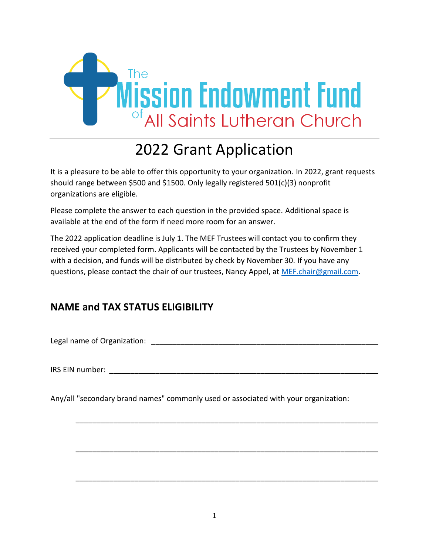

# 2022 Grant Application

It is a pleasure to be able to offer this opportunity to your organization. In 2022, grant requests should range between \$500 and \$1500. Only legally registered 501(c)(3) nonprofit organizations are eligible.

Please complete the answer to each question in the provided space. Additional space is available at the end of the form if need more room for an answer.

The 2022 application deadline is July 1. The MEF Trustees will contact you to confirm they received your completed form. Applicants will be contacted by the Trustees by November 1 with a decision, and funds will be distributed by check by November 30. If you have any questions, please contact the chair of our trustees, Nancy Appel, at [MEF.chair@gmail.com.](mailto:MEF.chair@gmail.com)

# **NAME and TAX STATUS ELIGIBILITY**

Legal name of Organization: \_\_\_\_\_\_\_\_\_\_\_\_\_\_\_\_\_\_\_\_\_\_\_\_\_\_\_\_\_\_\_\_\_\_\_\_\_\_\_\_\_\_\_\_\_\_\_\_\_\_\_\_\_\_

IRS EIN number: \_\_\_\_\_\_\_\_\_\_\_\_\_\_\_\_\_\_\_\_\_\_\_\_\_\_\_\_\_\_\_\_\_\_\_\_\_\_\_\_\_\_\_\_\_\_\_\_\_\_\_\_\_\_\_\_\_\_\_\_\_\_\_\_

Any/all "secondary brand names" commonly used or associated with your organization:

\_\_\_\_\_\_\_\_\_\_\_\_\_\_\_\_\_\_\_\_\_\_\_\_\_\_\_\_\_\_\_\_\_\_\_\_\_\_\_\_\_\_\_\_\_\_\_\_\_\_\_\_\_\_\_\_\_\_\_\_\_\_\_\_\_\_\_\_\_\_\_\_

\_\_\_\_\_\_\_\_\_\_\_\_\_\_\_\_\_\_\_\_\_\_\_\_\_\_\_\_\_\_\_\_\_\_\_\_\_\_\_\_\_\_\_\_\_\_\_\_\_\_\_\_\_\_\_\_\_\_\_\_\_\_\_\_\_\_\_\_\_\_\_\_

\_\_\_\_\_\_\_\_\_\_\_\_\_\_\_\_\_\_\_\_\_\_\_\_\_\_\_\_\_\_\_\_\_\_\_\_\_\_\_\_\_\_\_\_\_\_\_\_\_\_\_\_\_\_\_\_\_\_\_\_\_\_\_\_\_\_\_\_\_\_\_\_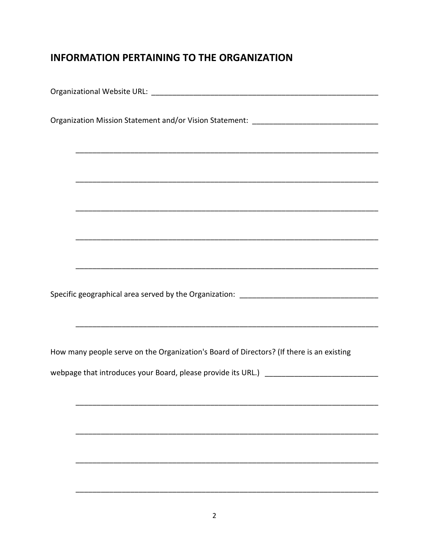## **INFORMATION PERTAINING TO THE ORGANIZATION**

| <u> 1989 - Johann Stoff, deutscher Stoff, der Stoff, der Stoff, der Stoff, der Stoff, der Stoff, der Stoff, der S</u> |
|-----------------------------------------------------------------------------------------------------------------------|
|                                                                                                                       |
|                                                                                                                       |
|                                                                                                                       |
|                                                                                                                       |
|                                                                                                                       |
|                                                                                                                       |
|                                                                                                                       |
|                                                                                                                       |
|                                                                                                                       |
| How many people serve on the Organization's Board of Directors? (If there is an existing                              |
|                                                                                                                       |
|                                                                                                                       |
|                                                                                                                       |
|                                                                                                                       |
|                                                                                                                       |
|                                                                                                                       |
|                                                                                                                       |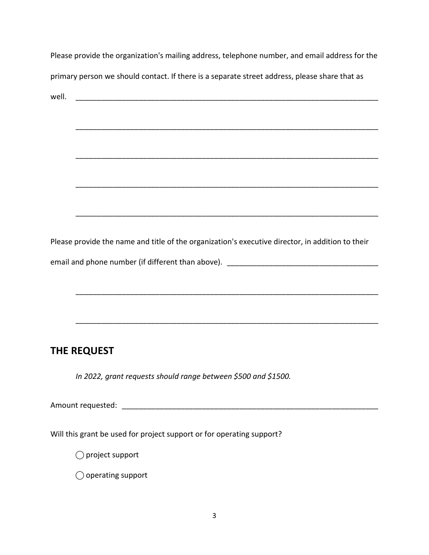| Please provide the organization's mailing address, telephone number, and email address for the   |
|--------------------------------------------------------------------------------------------------|
| primary person we should contact. If there is a separate street address, please share that as    |
| well.                                                                                            |
|                                                                                                  |
|                                                                                                  |
|                                                                                                  |
|                                                                                                  |
|                                                                                                  |
|                                                                                                  |
|                                                                                                  |
| Please provide the name and title of the organization's executive director, in addition to their |
|                                                                                                  |
|                                                                                                  |
|                                                                                                  |
|                                                                                                  |
|                                                                                                  |
| THE REQUEST                                                                                      |
| In 2022, grant requests should range between \$500 and \$1500.                                   |
|                                                                                                  |
|                                                                                                  |
|                                                                                                  |
| Will this grant be used for project support or for operating support?                            |
| $\supset$ project support                                                                        |
| $\bigcirc$ operating support                                                                     |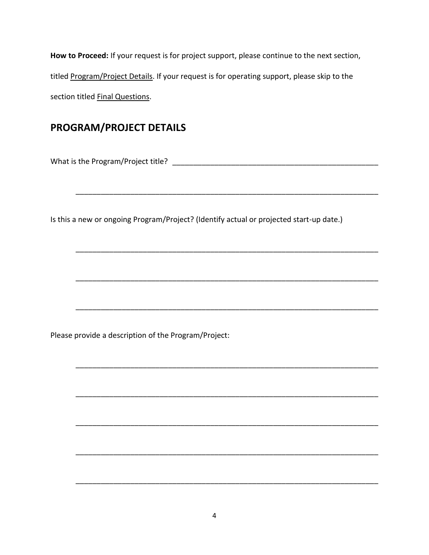**How to Proceed:** If your request is for project support, please continue to the next section, titled Program/Project Details. If your request is for operating support, please skip to the section titled Final Questions.

#### **PROGRAM/PROJECT DETAILS**

What is the Program/Project title? \_\_\_\_\_\_\_\_\_\_\_\_\_\_\_\_\_\_\_\_\_\_\_\_\_\_\_\_\_\_\_\_\_\_\_\_\_\_\_\_\_\_\_\_\_\_\_\_\_

Is this a new or ongoing Program/Project? (Identify actual or projected start-up date.)

\_\_\_\_\_\_\_\_\_\_\_\_\_\_\_\_\_\_\_\_\_\_\_\_\_\_\_\_\_\_\_\_\_\_\_\_\_\_\_\_\_\_\_\_\_\_\_\_\_\_\_\_\_\_\_\_\_\_\_\_\_\_\_\_\_\_\_\_\_\_\_\_

\_\_\_\_\_\_\_\_\_\_\_\_\_\_\_\_\_\_\_\_\_\_\_\_\_\_\_\_\_\_\_\_\_\_\_\_\_\_\_\_\_\_\_\_\_\_\_\_\_\_\_\_\_\_\_\_\_\_\_\_\_\_\_\_\_\_\_\_\_\_\_\_

\_\_\_\_\_\_\_\_\_\_\_\_\_\_\_\_\_\_\_\_\_\_\_\_\_\_\_\_\_\_\_\_\_\_\_\_\_\_\_\_\_\_\_\_\_\_\_\_\_\_\_\_\_\_\_\_\_\_\_\_\_\_\_\_\_\_\_\_\_\_\_\_

\_\_\_\_\_\_\_\_\_\_\_\_\_\_\_\_\_\_\_\_\_\_\_\_\_\_\_\_\_\_\_\_\_\_\_\_\_\_\_\_\_\_\_\_\_\_\_\_\_\_\_\_\_\_\_\_\_\_\_\_\_\_\_\_\_\_\_\_\_\_\_\_

\_\_\_\_\_\_\_\_\_\_\_\_\_\_\_\_\_\_\_\_\_\_\_\_\_\_\_\_\_\_\_\_\_\_\_\_\_\_\_\_\_\_\_\_\_\_\_\_\_\_\_\_\_\_\_\_\_\_\_\_\_\_\_\_\_\_\_\_\_\_\_\_

\_\_\_\_\_\_\_\_\_\_\_\_\_\_\_\_\_\_\_\_\_\_\_\_\_\_\_\_\_\_\_\_\_\_\_\_\_\_\_\_\_\_\_\_\_\_\_\_\_\_\_\_\_\_\_\_\_\_\_\_\_\_\_\_\_\_\_\_\_\_\_\_

\_\_\_\_\_\_\_\_\_\_\_\_\_\_\_\_\_\_\_\_\_\_\_\_\_\_\_\_\_\_\_\_\_\_\_\_\_\_\_\_\_\_\_\_\_\_\_\_\_\_\_\_\_\_\_\_\_\_\_\_\_\_\_\_\_\_\_\_\_\_\_\_

\_\_\_\_\_\_\_\_\_\_\_\_\_\_\_\_\_\_\_\_\_\_\_\_\_\_\_\_\_\_\_\_\_\_\_\_\_\_\_\_\_\_\_\_\_\_\_\_\_\_\_\_\_\_\_\_\_\_\_\_\_\_\_\_\_\_\_\_\_\_\_\_

\_\_\_\_\_\_\_\_\_\_\_\_\_\_\_\_\_\_\_\_\_\_\_\_\_\_\_\_\_\_\_\_\_\_\_\_\_\_\_\_\_\_\_\_\_\_\_\_\_\_\_\_\_\_\_\_\_\_\_\_\_\_\_\_\_\_\_\_\_\_\_\_

Please provide a description of the Program/Project: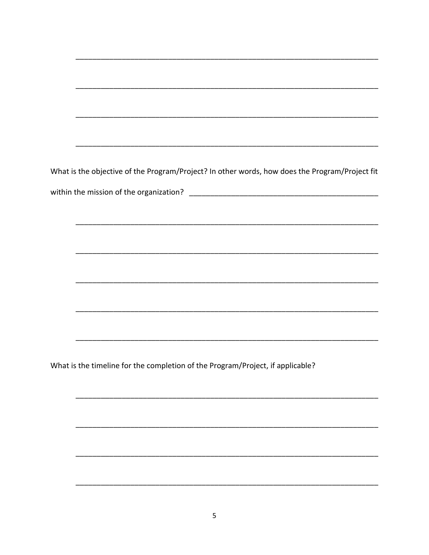What is the objective of the Program/Project? In other words, how does the Program/Project fit 

What is the timeline for the completion of the Program/Project, if applicable?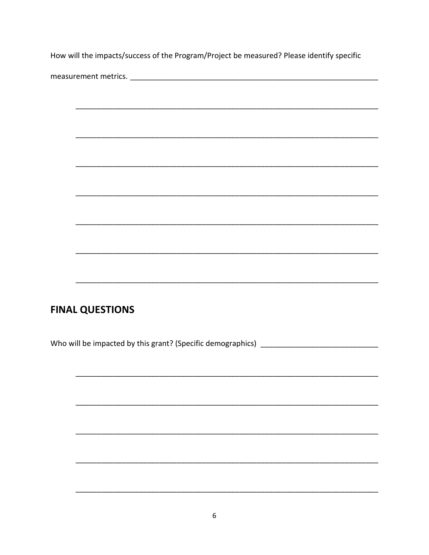How will the impacts/success of the Program/Project be measured? Please identify specific

## **FINAL QUESTIONS**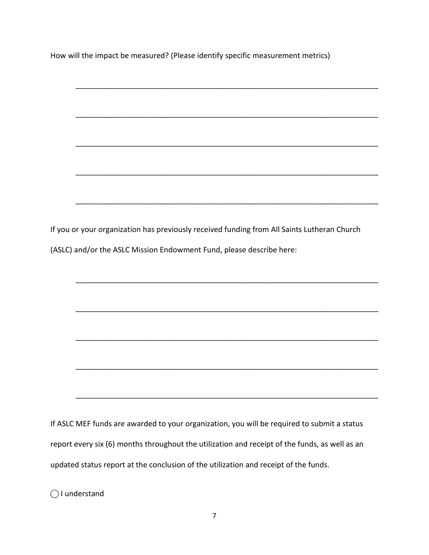How will the impact be measured? (Please identify specific measurement metrics)

\_\_\_\_\_\_\_\_\_\_\_\_\_\_\_\_\_\_\_\_\_\_\_\_\_\_\_\_\_\_\_\_\_\_\_\_\_\_\_\_\_\_\_\_\_\_\_\_\_\_\_\_\_\_\_\_\_\_\_\_\_\_\_\_\_\_\_\_\_\_\_\_

\_\_\_\_\_\_\_\_\_\_\_\_\_\_\_\_\_\_\_\_\_\_\_\_\_\_\_\_\_\_\_\_\_\_\_\_\_\_\_\_\_\_\_\_\_\_\_\_\_\_\_\_\_\_\_\_\_\_\_\_\_\_\_\_\_\_\_\_\_\_\_\_

\_\_\_\_\_\_\_\_\_\_\_\_\_\_\_\_\_\_\_\_\_\_\_\_\_\_\_\_\_\_\_\_\_\_\_\_\_\_\_\_\_\_\_\_\_\_\_\_\_\_\_\_\_\_\_\_\_\_\_\_\_\_\_\_\_\_\_\_\_\_\_\_

\_\_\_\_\_\_\_\_\_\_\_\_\_\_\_\_\_\_\_\_\_\_\_\_\_\_\_\_\_\_\_\_\_\_\_\_\_\_\_\_\_\_\_\_\_\_\_\_\_\_\_\_\_\_\_\_\_\_\_\_\_\_\_\_\_\_\_\_\_\_\_\_

\_\_\_\_\_\_\_\_\_\_\_\_\_\_\_\_\_\_\_\_\_\_\_\_\_\_\_\_\_\_\_\_\_\_\_\_\_\_\_\_\_\_\_\_\_\_\_\_\_\_\_\_\_\_\_\_\_\_\_\_\_\_\_\_\_\_\_\_\_\_\_\_

\_\_\_\_\_\_\_\_\_\_\_\_\_\_\_\_\_\_\_\_\_\_\_\_\_\_\_\_\_\_\_\_\_\_\_\_\_\_\_\_\_\_\_\_\_\_\_\_\_\_\_\_\_\_\_\_\_\_\_\_\_\_\_\_\_\_\_\_\_\_\_\_

\_\_\_\_\_\_\_\_\_\_\_\_\_\_\_\_\_\_\_\_\_\_\_\_\_\_\_\_\_\_\_\_\_\_\_\_\_\_\_\_\_\_\_\_\_\_\_\_\_\_\_\_\_\_\_\_\_\_\_\_\_\_\_\_\_\_\_\_\_\_\_\_

\_\_\_\_\_\_\_\_\_\_\_\_\_\_\_\_\_\_\_\_\_\_\_\_\_\_\_\_\_\_\_\_\_\_\_\_\_\_\_\_\_\_\_\_\_\_\_\_\_\_\_\_\_\_\_\_\_\_\_\_\_\_\_\_\_\_\_\_\_\_\_\_

\_\_\_\_\_\_\_\_\_\_\_\_\_\_\_\_\_\_\_\_\_\_\_\_\_\_\_\_\_\_\_\_\_\_\_\_\_\_\_\_\_\_\_\_\_\_\_\_\_\_\_\_\_\_\_\_\_\_\_\_\_\_\_\_\_\_\_\_\_\_\_\_

\_\_\_\_\_\_\_\_\_\_\_\_\_\_\_\_\_\_\_\_\_\_\_\_\_\_\_\_\_\_\_\_\_\_\_\_\_\_\_\_\_\_\_\_\_\_\_\_\_\_\_\_\_\_\_\_\_\_\_\_\_\_\_\_\_\_\_\_\_\_\_\_

If you or your organization has previously received funding from All Saints Lutheran Church (ASLC) and/or the ASLC Mission Endowment Fund, please describe here:

If ASLC MEF funds are awarded to your organization, you will be required to submit a status report every six (6) months throughout the utilization and receipt of the funds, as well as an updated status report at the conclusion of the utilization and receipt of the funds.

◯ I understand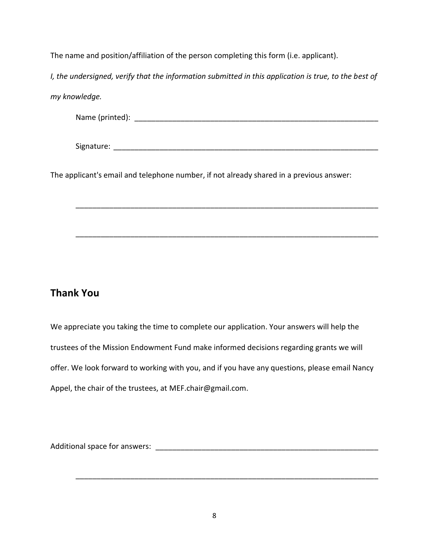The name and position/affiliation of the person completing this form (i.e. applicant).

*I*, the undersigned, verify that the information submitted in this application is true, to the best of

*my knowledge.*

Name (printed): \_\_\_\_\_\_\_\_\_\_\_\_\_\_\_\_\_\_\_\_\_\_\_\_\_\_\_\_\_\_\_\_\_\_\_\_\_\_\_\_\_\_\_\_\_\_\_\_\_\_\_\_\_\_\_\_\_\_

Signature: \_\_\_\_\_\_\_\_\_\_\_\_\_\_\_\_\_\_\_\_\_\_\_\_\_\_\_\_\_\_\_\_\_\_\_\_\_\_\_\_\_\_\_\_\_\_\_\_\_\_\_\_\_\_\_\_\_\_\_\_\_\_\_

\_\_\_\_\_\_\_\_\_\_\_\_\_\_\_\_\_\_\_\_\_\_\_\_\_\_\_\_\_\_\_\_\_\_\_\_\_\_\_\_\_\_\_\_\_\_\_\_\_\_\_\_\_\_\_\_\_\_\_\_\_\_\_\_\_\_\_\_\_\_\_\_

\_\_\_\_\_\_\_\_\_\_\_\_\_\_\_\_\_\_\_\_\_\_\_\_\_\_\_\_\_\_\_\_\_\_\_\_\_\_\_\_\_\_\_\_\_\_\_\_\_\_\_\_\_\_\_\_\_\_\_\_\_\_\_\_\_\_\_\_\_\_\_\_

The applicant's email and telephone number, if not already shared in a previous answer:

#### **Thank You**

We appreciate you taking the time to complete our application. Your answers will help the trustees of the Mission Endowment Fund make informed decisions regarding grants we will offer. We look forward to working with you, and if you have any questions, please email Nancy Appel, the chair of the trustees, at MEF.chair@gmail.com.

Additional space for answers: \_\_\_\_\_\_\_\_\_\_\_\_\_\_\_\_\_\_\_\_\_\_\_\_\_\_\_\_\_\_\_\_\_\_\_\_\_\_\_\_\_\_\_\_\_\_\_\_\_\_\_\_\_

\_\_\_\_\_\_\_\_\_\_\_\_\_\_\_\_\_\_\_\_\_\_\_\_\_\_\_\_\_\_\_\_\_\_\_\_\_\_\_\_\_\_\_\_\_\_\_\_\_\_\_\_\_\_\_\_\_\_\_\_\_\_\_\_\_\_\_\_\_\_\_\_